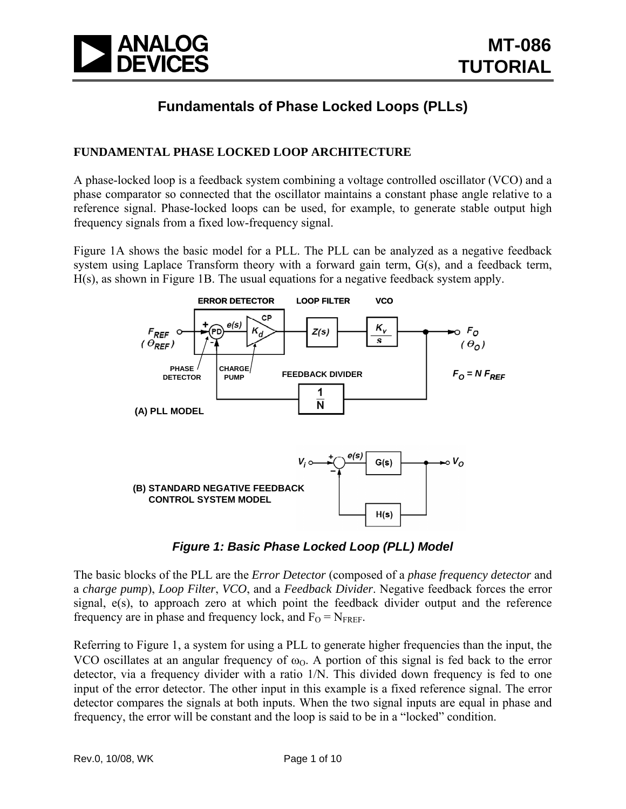

# **Fundamentals of Phase Locked Loops (PLLs)**

### **FUNDAMENTAL PHASE LOCKED LOOP ARCHITECTURE**

A phase-locked loop is a feedback system combining a voltage controlled oscillator (VCO) and a phase comparator so connected that the oscillator maintains a constant phase angle relative to a reference signal. Phase-locked loops can be used, for example, to generate stable output high frequency signals from a fixed low-frequency signal.

Figure 1A shows the basic model for a PLL. The PLL can be analyzed as a negative feedback system using Laplace Transform theory with a forward gain term, G(s), and a feedback term, H(s), as shown in Figure 1B. The usual equations for a negative feedback system apply.



*Figure 1: Basic Phase Locked Loop (PLL) Model* 

The basic blocks of the PLL are the *Error Detector* (composed of a *phase frequency detector* and a *charge pump*), *Loop Filter*, *VCO*, and a *Feedback Divider*. Negative feedback forces the error signal,  $e(s)$ , to approach zero at which point the feedback divider output and the reference frequency are in phase and frequency lock, and  $F_{O} = N_{FREF}$ .

Referring to Figure 1, a system for using a PLL to generate higher frequencies than the input, the VCO oscillates at an angular frequency of  $\omega_0$ . A portion of this signal is fed back to the error detector, via a frequency divider with a ratio 1/N. This divided down frequency is fed to one input of the error detector. The other input in this example is a fixed reference signal. The error detector compares the signals at both inputs. When the two signal inputs are equal in phase and frequency, the error will be constant and the loop is said to be in a "locked" condition.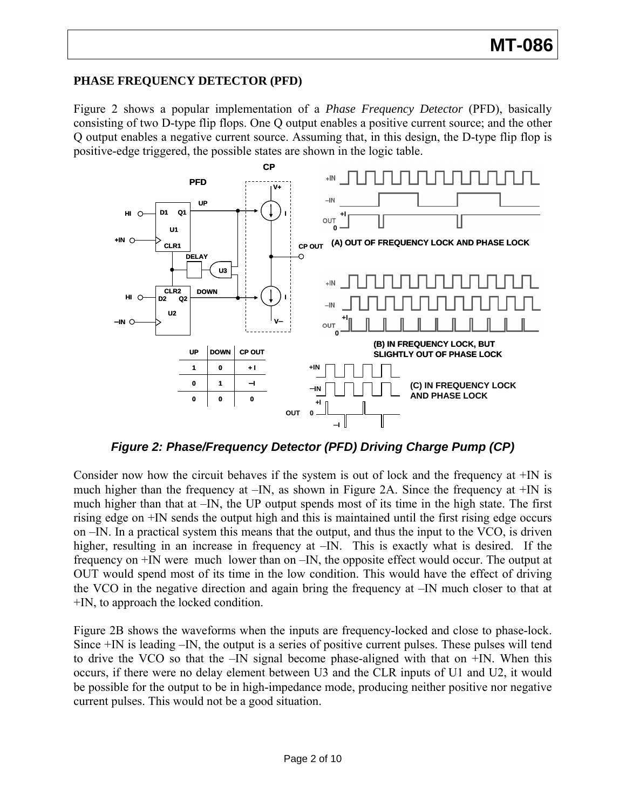#### **PHASE FREQUENCY DETECTOR (PFD)**

Figure 2 shows a popular implementation of a *Phase Frequency Detector* (PFD), basically consisting of two D-type flip flops. One Q output enables a positive current source; and the other Q output enables a negative current source. Assuming that, in this design, the D-type flip flop is positive-edge triggered, the possible states are shown in the logic table.



*Figure 2: Phase/Frequency Detector (PFD) Driving Charge Pump (CP)* 

Consider now how the circuit behaves if the system is out of lock and the frequency at +IN is much higher than the frequency at –IN, as shown in Figure 2A. Since the frequency at +IN is much higher than that at –IN, the UP output spends most of its time in the high state. The first rising edge on +IN sends the output high and this is maintained until the first rising edge occurs on –IN. In a practical system this means that the output, and thus the input to the VCO, is driven higher, resulting in an increase in frequency at –IN. This is exactly what is desired. If the frequency on +IN were much lower than on –IN, the opposite effect would occur. The output at OUT would spend most of its time in the low condition. This would have the effect of driving the VCO in the negative direction and again bring the frequency at –IN much closer to that at +IN, to approach the locked condition.

Figure 2B shows the waveforms when the inputs are frequency-locked and close to phase-lock. Since +IN is leading –IN, the output is a series of positive current pulses. These pulses will tend to drive the VCO so that the –IN signal become phase-aligned with that on +IN. When this occurs, if there were no delay element between U3 and the CLR inputs of U1 and U2, it would be possible for the output to be in high-impedance mode, producing neither positive nor negative current pulses. This would not be a good situation.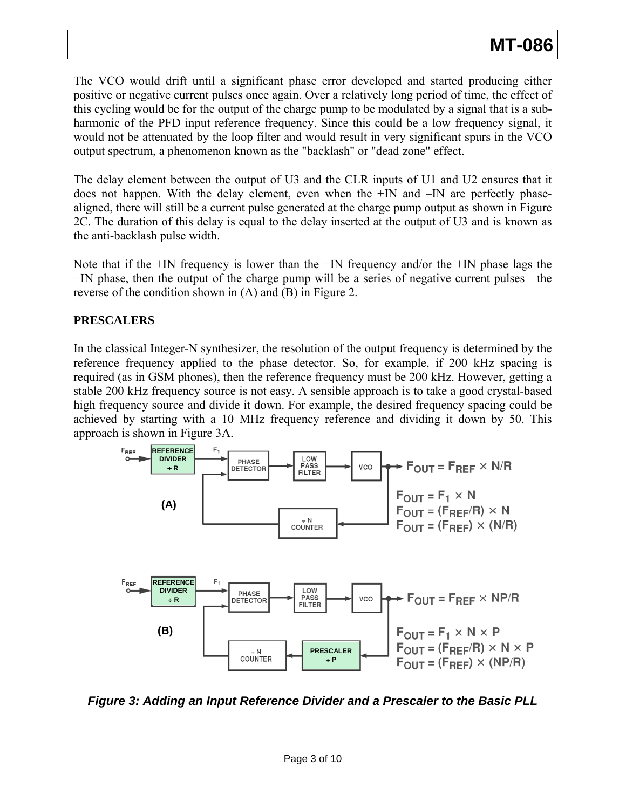The VCO would drift until a significant phase error developed and started producing either positive or negative current pulses once again. Over a relatively long period of time, the effect of this cycling would be for the output of the charge pump to be modulated by a signal that is a subharmonic of the PFD input reference frequency. Since this could be a low frequency signal, it would not be attenuated by the loop filter and would result in very significant spurs in the VCO output spectrum, a phenomenon known as the "backlash" or "dead zone" effect.

The delay element between the output of U3 and the CLR inputs of U1 and U2 ensures that it does not happen. With the delay element, even when the +IN and –IN are perfectly phasealigned, there will still be a current pulse generated at the charge pump output as shown in Figure 2C. The duration of this delay is equal to the delay inserted at the output of U3 and is known as the anti-backlash pulse width.

Note that if the +IN frequency is lower than the −IN frequency and/or the +IN phase lags the −IN phase, then the output of the charge pump will be a series of negative current pulses—the reverse of the condition shown in (A) and (B) in Figure 2.

### **PRESCALERS**

In the classical Integer-N synthesizer, the resolution of the output frequency is determined by the reference frequency applied to the phase detector. So, for example, if 200 kHz spacing is required (as in GSM phones), then the reference frequency must be 200 kHz. However, getting a stable 200 kHz frequency source is not easy. A sensible approach is to take a good crystal-based high frequency source and divide it down. For example, the desired frequency spacing could be achieved by starting with a 10 MHz frequency reference and dividing it down by 50. This approach is shown in Figure 3A.



*Figure 3: Adding an Input Reference Divider and a Prescaler to the Basic PLL*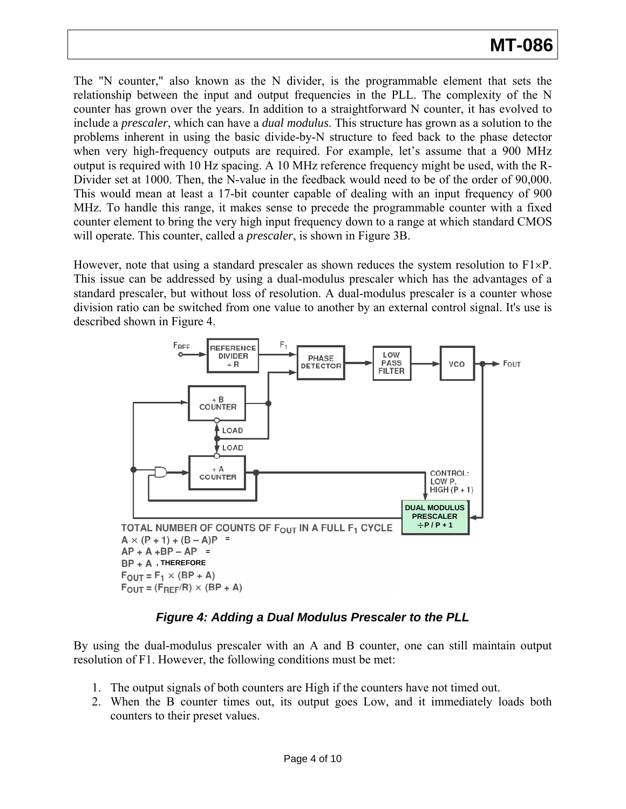The "N counter," also known as the N divider, is the programmable element that sets the relationship between the input and output frequencies in the PLL. The complexity of the N counter has grown over the years. In addition to a straightforward N counter, it has evolved to include a *prescaler*, which can have a *dual modulus*. This structure has grown as a solution to the problems inherent in using the basic divide-by-N structure to feed back to the phase detector when very high-frequency outputs are required. For example, let's assume that a 900 MHz output is required with 10 Hz spacing. A 10 MHz reference frequency might be used, with the R-Divider set at 1000. Then, the N-value in the feedback would need to be of the order of 90,000. This would mean at least a 17-bit counter capable of dealing with an input frequency of 900 MHz. To handle this range, it makes sense to precede the programmable counter with a fixed counter element to bring the very high input frequency down to a range at which standard CMOS will operate. This counter, called a *prescaler*, is shown in Figure 3B.

However, note that using a standard prescaler as shown reduces the system resolution to  $F1\times P$ . This issue can be addressed by using a dual-modulus prescaler which has the advantages of a standard prescaler, but without loss of resolution. A dual-modulus prescaler is a counter whose division ratio can be switched from one value to another by an external control signal. It's use is described shown in Figure 4.



## *Figure 4: Adding a Dual Modulus Prescaler to the PLL*

By using the dual-modulus prescaler with an A and B counter, one can still maintain output resolution of F1. However, the following conditions must be met:

- 1. The output signals of both counters are High if the counters have not timed out.
- 2. When the B counter times out, its output goes Low, and it immediately loads both counters to their preset values.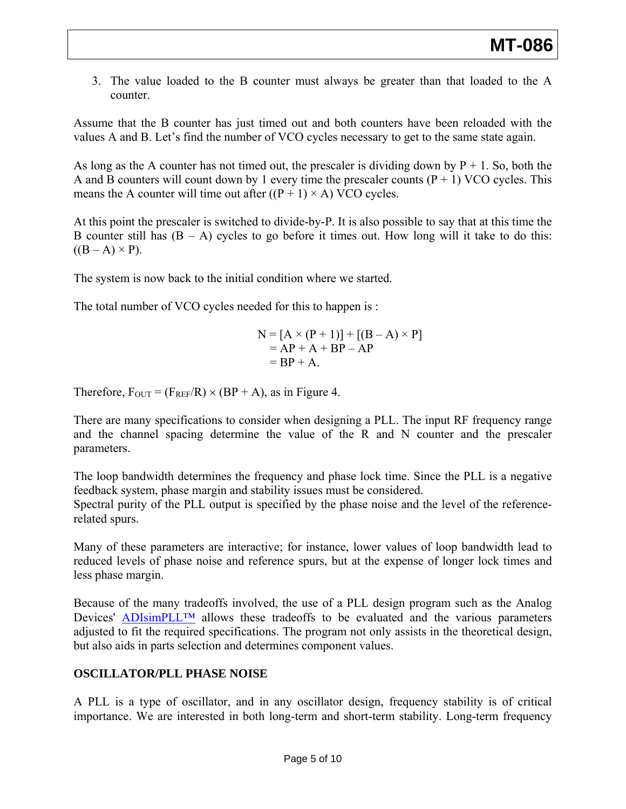3. The value loaded to the B counter must always be greater than that loaded to the A counter.

Assume that the B counter has just timed out and both counters have been reloaded with the values A and B. Let's find the number of VCO cycles necessary to get to the same state again.

As long as the A counter has not timed out, the prescaler is dividing down by  $P + 1$ . So, both the A and B counters will count down by 1 every time the prescaler counts  $(P + 1)$  VCO cycles. This means the A counter will time out after  $((P + 1) \times A)$  VCO cycles.

At this point the prescaler is switched to divide-by-P. It is also possible to say that at this time the B counter still has  $(B - A)$  cycles to go before it times out. How long will it take to do this:  $((B - A) \times P)$ .

The system is now back to the initial condition where we started.

The total number of VCO cycles needed for this to happen is :

$$
N = [A \times (P + 1)] + [(B - A) \times P]
$$
  
= AP + A + BP - AP  
= BP + A.

Therefore,  $F_{OUT} = (F_{REF}/R) \times (BP + A)$ , as in Figure 4.

There are many specifications to consider when designing a PLL. The input RF frequency range and the channel spacing determine the value of the R and N counter and the prescaler parameters.

The loop bandwidth determines the frequency and phase lock time. Since the PLL is a negative feedback system, phase margin and stability issues must be considered.

Spectral purity of the PLL output is specified by the phase noise and the level of the referencerelated spurs.

Many of these parameters are interactive; for instance, lower values of loop bandwidth lead to reduced levels of phase noise and reference spurs, but at the expense of longer lock times and less phase margin.

Because of the many tradeoffs involved, the use of a PLL design program such as the Analog Devices'  $\Delta$ DIsimPLL<sup>TM</sup> allows these tradeoffs to be evaluated and the various parameters adjusted to fit the required specifications. The program not only assists in the theoretical design, but also aids in parts selection and determines component values.

## **OSCILLATOR/PLL PHASE NOISE**

A PLL is a type of oscillator, and in any oscillator design, frequency stability is of critical importance. We are interested in both long-term and short-term stability. Long-term frequency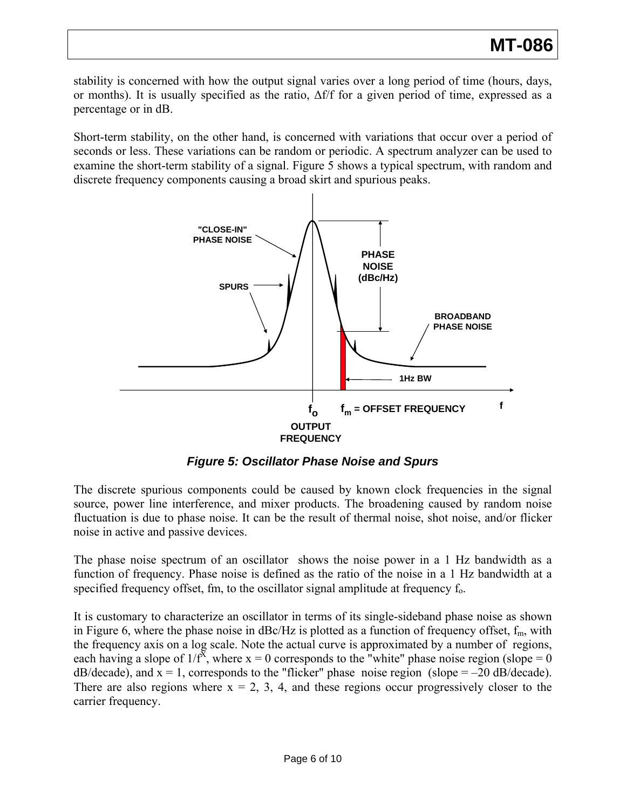stability is concerned with how the output signal varies over a long period of time (hours, days, or months). It is usually specified as the ratio,  $\Delta f/f$  for a given period of time, expressed as a percentage or in dB.

Short-term stability, on the other hand, is concerned with variations that occur over a period of seconds or less. These variations can be random or periodic. A spectrum analyzer can be used to examine the short-term stability of a signal. Figure 5 shows a typical spectrum, with random and discrete frequency components causing a broad skirt and spurious peaks.



*Figure 5: Oscillator Phase Noise and Spurs* 

The discrete spurious components could be caused by known clock frequencies in the signal source, power line interference, and mixer products. The broadening caused by random noise fluctuation is due to phase noise. It can be the result of thermal noise, shot noise, and/or flicker noise in active and passive devices.

The phase noise spectrum of an oscillator shows the noise power in a 1 Hz bandwidth as a function of frequency. Phase noise is defined as the ratio of the noise in a 1 Hz bandwidth at a specified frequency offset, fm, to the oscillator signal amplitude at frequency f<sub>o</sub>.

It is customary to characterize an oscillator in terms of its single-sideband phase noise as shown in Figure 6, where the phase noise in  $dBc/Hz$  is plotted as a function of frequency offset,  $f_m$ , with the frequency axis on a log scale. Note the actual curve is approximated by a number of regions, each having a slope of  $1/f^{\overline{X}}$ , where x = 0 corresponds to the "white" phase noise region (slope = 0  $dB/decade)$ , and  $x = 1$ , corresponds to the "flicker" phase noise region (slope = -20 dB/decade). There are also regions where  $x = 2, 3, 4$ , and these regions occur progressively closer to the carrier frequency.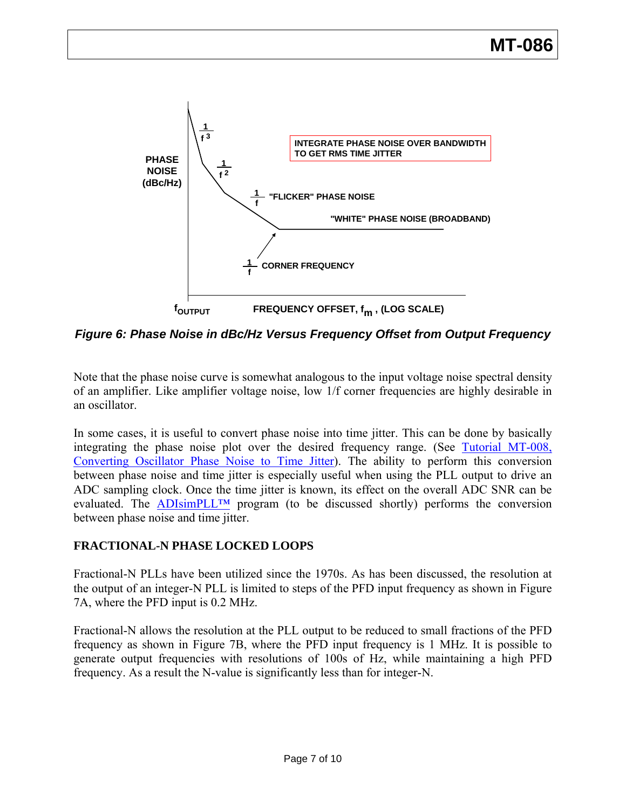

*Figure 6: Phase Noise in dBc/Hz Versus Frequency Offset from Output Frequency* 

Note that the phase noise curve is somewhat analogous to the input voltage noise spectral density of an amplifier. Like amplifier voltage noise, low 1/f corner frequencies are highly desirable in an oscillator.

In some cases, it is useful to convert phase noise into time jitter. This can be done by basically integrating the phase noise plot over the desired frequency range. (See [Tutorial MT-008,](http://www.analog.com/static/imported-files/tutorials/MT-008.pdf)  [Converting Oscillator Phase Noise to Time Jitter\)](http://www.analog.com/static/imported-files/tutorials/MT-008.pdf). The ability to perform this conversion between phase noise and time jitter is especially useful when using the PLL output to drive an ADC sampling clock. Once the time jitter is known, its effect on the overall ADC SNR can be evaluated. The ADIsimPLL<sup>TM</sup> program (to be discussed shortly) performs the conversion between phase noise and time jitter.

#### **FRACTIONAL-N PHASE LOCKED LOOPS**

Fractional-N PLLs have been utilized since the 1970s. As has been discussed, the resolution at the output of an integer-N PLL is limited to steps of the PFD input frequency as shown in Figure 7A, where the PFD input is 0.2 MHz.

Fractional-N allows the resolution at the PLL output to be reduced to small fractions of the PFD frequency as shown in Figure 7B, where the PFD input frequency is 1 MHz. It is possible to generate output frequencies with resolutions of 100s of Hz, while maintaining a high PFD frequency. As a result the N-value is significantly less than for integer-N.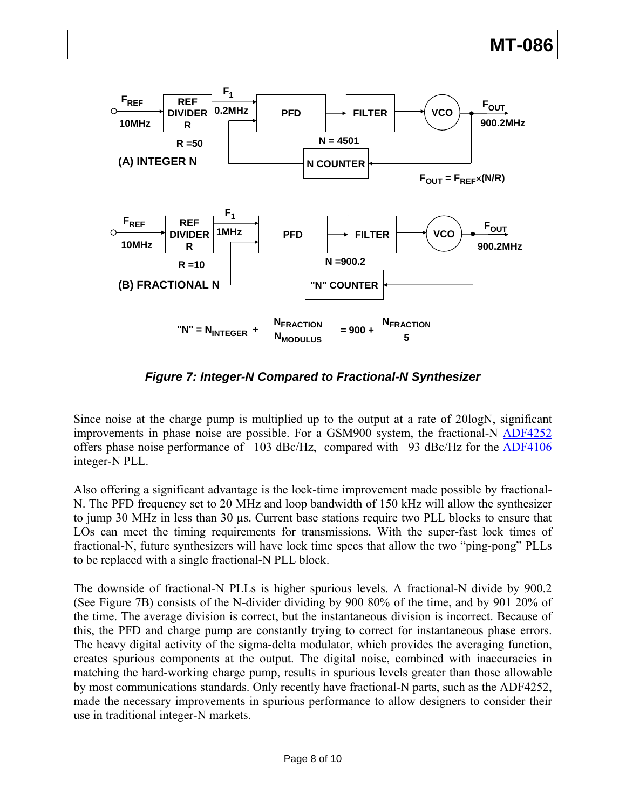

*Figure 7: Integer-N Compared to Fractional-N Synthesizer* 

Since noise at the charge pump is multiplied up to the output at a rate of 20logN, significant improvements in phase noise are possible. For a GSM900 system, the fractional-N [ADF4252](http://www.analog.com/en/rfif-components/pll-synthesizersvcos/adf4252/products/product.html) offers phase noise performance of –103 dBc/Hz, compared with –93 dBc/Hz for the [ADF4106](http://www.analog.com/en/rfif-components/pll-synthesizersvcos/adf4106/products/product.html) integer-N PLL.

Also offering a significant advantage is the lock-time improvement made possible by fractional-N. The PFD frequency set to 20 MHz and loop bandwidth of 150 kHz will allow the synthesizer to jump 30 MHz in less than 30 µs. Current base stations require two PLL blocks to ensure that LOs can meet the timing requirements for transmissions. With the super-fast lock times of fractional-N, future synthesizers will have lock time specs that allow the two "ping-pong" PLLs to be replaced with a single fractional-N PLL block.

The downside of fractional-N PLLs is higher spurious levels. A fractional-N divide by 900.2 (See Figure 7B) consists of the N-divider dividing by 900 80% of the time, and by 901 20% of the time. The average division is correct, but the instantaneous division is incorrect. Because of this, the PFD and charge pump are constantly trying to correct for instantaneous phase errors. The heavy digital activity of the sigma-delta modulator, which provides the averaging function, creates spurious components at the output. The digital noise, combined with inaccuracies in matching the hard-working charge pump, results in spurious levels greater than those allowable by most communications standards. Only recently have fractional-N parts, such as the ADF4252, made the necessary improvements in spurious performance to allow designers to consider their use in traditional integer-N markets.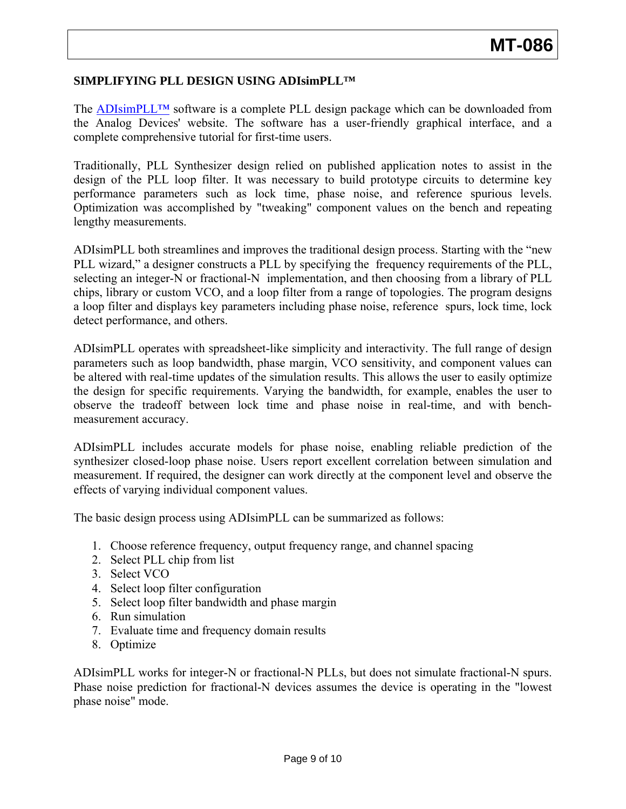#### **SIMPLIFYING PLL DESIGN USING ADIsimPLL™**

The [ADIsimPLL™](http://forms.analog.com/form_pages/rfcomms/adisimpll.asp) software is a complete PLL design package which can be downloaded from the Analog Devices' website. The software has a user-friendly graphical interface, and a complete comprehensive tutorial for first-time users.

Traditionally, PLL Synthesizer design relied on published application notes to assist in the design of the PLL loop filter. It was necessary to build prototype circuits to determine key performance parameters such as lock time, phase noise, and reference spurious levels. Optimization was accomplished by "tweaking" component values on the bench and repeating lengthy measurements.

ADIsimPLL both streamlines and improves the traditional design process. Starting with the "new PLL wizard," a designer constructs a PLL by specifying the frequency requirements of the PLL, selecting an integer-N or fractional-N implementation, and then choosing from a library of PLL chips, library or custom VCO, and a loop filter from a range of topologies. The program designs a loop filter and displays key parameters including phase noise, reference spurs, lock time, lock detect performance, and others.

ADIsimPLL operates with spreadsheet-like simplicity and interactivity. The full range of design parameters such as loop bandwidth, phase margin, VCO sensitivity, and component values can be altered with real-time updates of the simulation results. This allows the user to easily optimize the design for specific requirements. Varying the bandwidth, for example, enables the user to observe the tradeoff between lock time and phase noise in real-time, and with benchmeasurement accuracy.

ADIsimPLL includes accurate models for phase noise, enabling reliable prediction of the synthesizer closed-loop phase noise. Users report excellent correlation between simulation and measurement. If required, the designer can work directly at the component level and observe the effects of varying individual component values.

The basic design process using ADIsimPLL can be summarized as follows:

- 1. Choose reference frequency, output frequency range, and channel spacing
- 2. Select PLL chip from list
- 3. Select VCO
- 4. Select loop filter configuration
- 5. Select loop filter bandwidth and phase margin
- 6. Run simulation
- 7. Evaluate time and frequency domain results
- 8. Optimize

ADIsimPLL works for integer-N or fractional-N PLLs, but does not simulate fractional-N spurs. Phase noise prediction for fractional-N devices assumes the device is operating in the "lowest phase noise" mode.